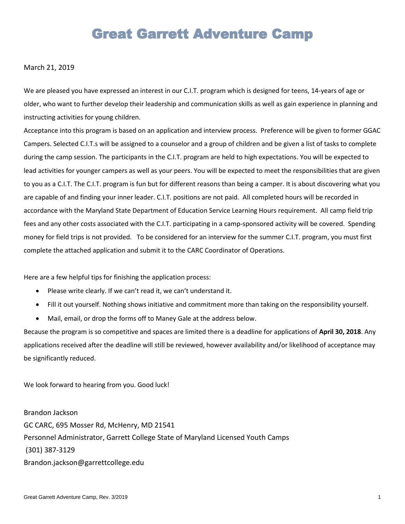### **Great Garrett Adventure Camp**

#### March 21, 2019

We are pleased you have expressed an interest in our C.I.T. program which is designed for teens, 14-years of age or older, who want to further develop their leadership and communication skills as well as gain experience in planning and instructing activities for young children.

Acceptance into this program is based on an application and interview process. Preference will be given to former GGAC Campers. Selected C.I.T.s will be assigned to a counselor and a group of children and be given a list of tasks to complete during the camp session. The participants in the C.I.T. program are held to high expectations. You will be expected to lead activities for younger campers as well as your peers. You will be expected to meet the responsibilities that are given to you as a C.I.T. The C.I.T. program is fun but for different reasons than being a camper. It is about discovering what you are capable of and finding your inner leader. C.I.T. positions are not paid. All completed hours will be recorded in accordance with the Maryland State Department of Education Service Learning Hours requirement. All camp field trip fees and any other costs associated with the C.I.T. participating in a camp-sponsored activity will be covered. Spending money for field trips is not provided. To be considered for an interview for the summer C.I.T. program, you must first complete the attached application and submit it to the CARC Coordinator of Operations.

Here are a few helpful tips for finishing the application process:

- Please write clearly. If we can't read it, we can't understand it.
- Fill it out yourself. Nothing shows initiative and commitment more than taking on the responsibility yourself.
- Mail, email, or drop the forms off to Maney Gale at the address below.

Because the program is so competitive and spaces are limited there is a deadline for applications of **April 30, 2018**. Any applications received after the deadline will still be reviewed, however availability and/or likelihood of acceptance may be significantly reduced.

We look forward to hearing from you. Good luck!

Brandon Jackson GC CARC, 695 Mosser Rd, McHenry, MD 21541 Personnel Administrator, Garrett College State of Maryland Licensed Youth Camps (301) 387-3129 Brandon.jackson@garrettcollege.edu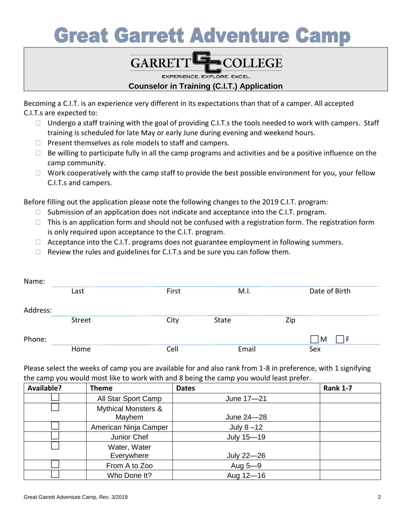# **Great Garrett Adventure Camp**

### **COLLEGE GARRETT**

EXPERIENCE. EXPLORE. EXCEL.

### **Counselor in Training (C.I.T.) Application**

Becoming a C.I.T. is an experience very different in its expectations than that of a camper. All accepted C.I.T.s are expected to:

- $\Box$  Undergo a staff training with the goal of providing C.I.T.s the tools needed to work with campers. Staff training is scheduled for late May or early June during evening and weekend hours.
- $\Box$  Present themselves as role models to staff and campers.
- $\Box$  Be willing to participate fully in all the camp programs and activities and be a positive influence on the camp community.
- $\Box$  Work cooperatively with the camp staff to provide the best possible environment for you, your fellow C.I.T.s and campers.

Before filling out the application please note the following changes to the 2019 C.I.T. program:

- $\Box$  Submission of an application does not indicate and acceptance into the C.I.T. program.
- $\Box$  This is an application form and should not be confused with a registration form. The registration form is only required upon acceptance to the C.I.T. program.
- $\Box$  Acceptance into the C.I.T. programs does not guarantee employment in following summers.
- $\Box$  Review the rules and guidelines for C.I.T.s and be sure you can follow them.

| Name:    |        |       |              |     |               |
|----------|--------|-------|--------------|-----|---------------|
|          | Last   | First | M.I.         |     | Date of Birth |
|          |        |       |              |     |               |
| Address: |        |       |              |     |               |
|          | Street | City  | <b>State</b> | Zip |               |
|          |        |       |              |     |               |
| Phone:   |        |       |              |     | $\mathsf{M}$  |
|          | Home   | Cell  | Email        |     | Sex           |

Please select the weeks of camp you are available for and also rank from 1-8 in preference, with 1 signifying the camp you would most like to work with and 8 being the camp you would least prefer.

| <b>Available?</b> | Theme                                    | <b>Dates</b>  | <b>Rank 1-7</b> |
|-------------------|------------------------------------------|---------------|-----------------|
|                   | All Star Sport Camp                      | June 17-21    |                 |
|                   | <b>Mythical Monsters &amp;</b><br>Mayhem | June 24-28    |                 |
|                   | American Ninja Camper                    | July $8 - 12$ |                 |
|                   | Junior Chef                              | July 15-19    |                 |
|                   | Water, Water<br>Everywhere               | July 22-26    |                 |
|                   | From A to Zoo                            | Aug 5-9       |                 |
|                   | Who Done It?                             | Aug 12-16     |                 |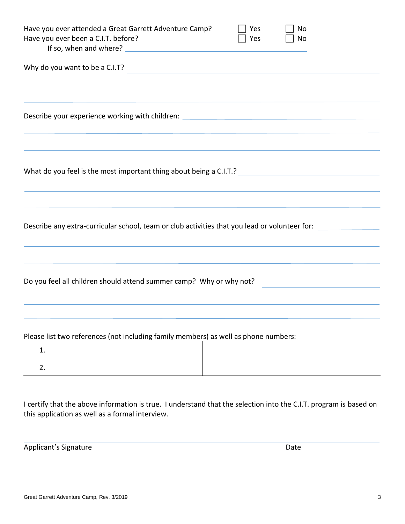| Have you ever attended a Great Garrett Adventure Camp?<br>Have you ever been a C.I.T. before?                                                                                                                                  |  | Yes<br>Yes | No<br>No |  |  |  |
|--------------------------------------------------------------------------------------------------------------------------------------------------------------------------------------------------------------------------------|--|------------|----------|--|--|--|
| Why do you want to be a C.I.T?<br><u> 1980 - Andrea Andrew Maria (h. 1980).</u>                                                                                                                                                |  |            |          |  |  |  |
| ,我们也不会有什么。""我们的人,我们也不会有什么?""我们的人,我们也不会有什么?""我们的人,我们的人,我们的人,我们的人,我们的人,我们的人,我们的人,我<br>Describe your experience working with children: _________________________________                                                          |  |            |          |  |  |  |
| What do you feel is the most important thing about being a C.I.T.? [14] Matter Community of the Ministry of Ministry of Ministry of Ministry of Ministry of Ministry of Ministry of Ministry of Ministry of Ministry of Minist |  |            |          |  |  |  |
| Describe any extra-curricular school, team or club activities that you lead or volunteer for:                                                                                                                                  |  |            |          |  |  |  |
| Do you feel all children should attend summer camp? Why or why not?                                                                                                                                                            |  |            |          |  |  |  |
| Please list two references (not including family members) as well as phone numbers:<br>1.                                                                                                                                      |  |            |          |  |  |  |
| 2.                                                                                                                                                                                                                             |  |            |          |  |  |  |

I certify that the above information is true. I understand that the selection into the C.I.T. program is based on this application as well as a formal interview.

Applicant's Signature Date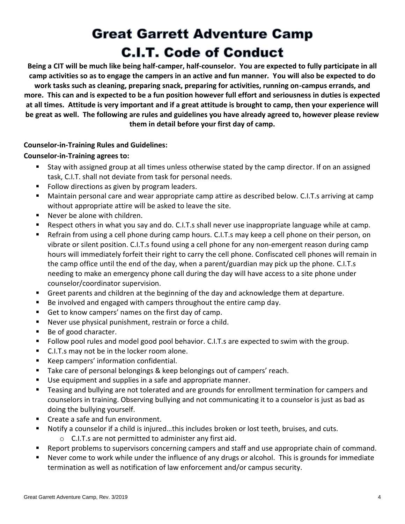## **Great Garrett Adventure Camp C.I.T. Code of Conduct**

**Being a CIT will be much like being half-camper, half-counselor. You are expected to fully participate in all camp activities so as to engage the campers in an active and fun manner. You will also be expected to do work tasks such as cleaning, preparing snack, preparing for activities, running on-campus errands, and more. This can and is expected to be a fun position however full effort and seriousness in duties is expected at all times. Attitude is very important and if a great attitude is brought to camp, then your experience will be great as well. The following are rules and guidelines you have already agreed to, however please review them in detail before your first day of camp.**

### **Counselor-in-Training Rules and Guidelines:**

### **Counselor-in-Training agrees to:**

- Stay with assigned group at all times unless otherwise stated by the camp director. If on an assigned task, C.I.T. shall not deviate from task for personal needs.
- Follow directions as given by program leaders.
- Maintain personal care and wear appropriate camp attire as described below. C.I.T.s arriving at camp without appropriate attire will be asked to leave the site.
- Never be alone with children.
- Respect others in what you say and do. C.I.T.s shall never use inappropriate language while at camp.
- Refrain from using a cell phone during camp hours. C.I.T.s may keep a cell phone on their person, on vibrate or silent position. C.I.T.s found using a cell phone for any non-emergent reason during camp hours will immediately forfeit their right to carry the cell phone. Confiscated cell phones will remain in the camp office until the end of the day, when a parent/guardian may pick up the phone. C.I.T.s needing to make an emergency phone call during the day will have access to a site phone under counselor/coordinator supervision.
- Greet parents and children at the beginning of the day and acknowledge them at departure.
- Be involved and engaged with campers throughout the entire camp day.
- Get to know campers' names on the first day of camp.
- Never use physical punishment, restrain or force a child.
- Be of good character.
- Follow pool rules and model good pool behavior. C.I.T.s are expected to swim with the group.
- C.I.T.s may not be in the locker room alone.
- Keep campers' information confidential.
- Take care of personal belongings & keep belongings out of campers' reach.
- Use equipment and supplies in a safe and appropriate manner.
- **Teasing and bullying are not tolerated and are grounds for enrollment termination for campers and** counselors in training. Observing bullying and not communicating it to a counselor is just as bad as doing the bullying yourself.
- Create a safe and fun environment.
- Notify a counselor if a child is injured...this includes broken or lost teeth, bruises, and cuts.
	- o C.I.T.s are not permitted to administer any first aid.
- Report problems to supervisors concerning campers and staff and use appropriate chain of command.
- Never come to work while under the influence of any drugs or alcohol. This is grounds for immediate termination as well as notification of law enforcement and/or campus security.